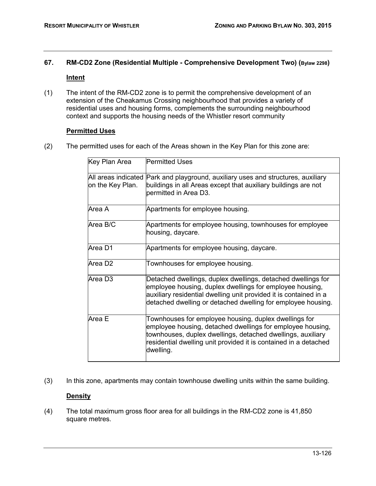# **67. RM-CD2 Zone (Residential Multiple - Comprehensive Development Two) (Bylaw 2298)**

## **Intent**

(1) The intent of the RM-CD2 zone is to permit the comprehensive development of an extension of the Cheakamus Crossing neighbourhood that provides a variety of residential uses and housing forms, complements the surrounding neighbourhood context and supports the housing needs of the Whistler resort community

### **Permitted Uses**

(2) The permitted uses for each of the Areas shown in the Key Plan for this zone are:

| Key Plan Area       | <b>Permitted Uses</b>                                                                                                                                                                                                                                               |
|---------------------|---------------------------------------------------------------------------------------------------------------------------------------------------------------------------------------------------------------------------------------------------------------------|
| on the Key Plan.    | All areas indicated Park and playground, auxiliary uses and structures, auxiliary<br>buildings in all Areas except that auxiliary buildings are not<br>permitted in Area D3.                                                                                        |
| Area A              | Apartments for employee housing.                                                                                                                                                                                                                                    |
| Area B/C            | Apartments for employee housing, townhouses for employee<br>housing, daycare.                                                                                                                                                                                       |
| Area D1             | Apartments for employee housing, daycare.                                                                                                                                                                                                                           |
| Area D <sub>2</sub> | Townhouses for employee housing.                                                                                                                                                                                                                                    |
| Area D3             | Detached dwellings, duplex dwellings, detached dwellings for<br>employee housing, duplex dwellings for employee housing,<br>auxiliary residential dwelling unit provided it is contained in a<br>detached dwelling or detached dwelling for employee housing.       |
| Area E              | Townhouses for employee housing, duplex dwellings for<br>employee housing, detached dwellings for employee housing,<br>townhouses, duplex dwellings, detached dwellings, auxiliary<br>residential dwelling unit provided it is contained in a detached<br>dwelling. |

(3) In this zone, apartments may contain townhouse dwelling units within the same building.

## **Density**

(4) The total maximum gross floor area for all buildings in the RM-CD2 zone is 41,850 square metres.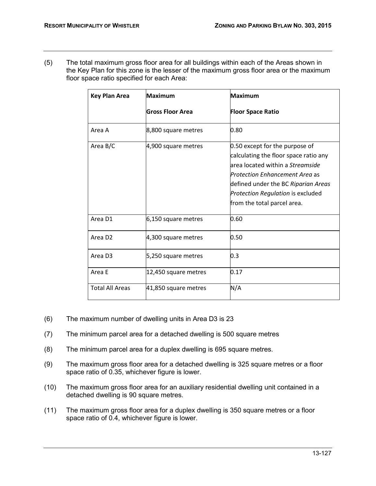(5) The total maximum gross floor area for all buildings within each of the Areas shown in the Key Plan for this zone is the lesser of the maximum gross floor area or the maximum floor space ratio specified for each Area:

| <b>Key Plan Area</b>   | <b>Maximum</b>       | <b>Maximum</b>                                                                                                                                                                                                                                                  |
|------------------------|----------------------|-----------------------------------------------------------------------------------------------------------------------------------------------------------------------------------------------------------------------------------------------------------------|
|                        | Gross Floor Area     | <b>Floor Space Ratio</b>                                                                                                                                                                                                                                        |
| Area A                 | 8,800 square metres  | 0.80                                                                                                                                                                                                                                                            |
| Area B/C               | 4,900 square metres  | 0.50 except for the purpose of<br>calculating the floor space ratio any<br>area located within a Streamside<br><b>Protection Enhancement Area as</b><br>defined under the BC Riparian Areas<br>Protection Regulation is excluded<br>from the total parcel area. |
| Area D1                | 6,150 square metres  | 0.60                                                                                                                                                                                                                                                            |
| Area D <sub>2</sub>    | 4,300 square metres  | 0.50                                                                                                                                                                                                                                                            |
| Area D <sub>3</sub>    | 5,250 square metres  | 0.3                                                                                                                                                                                                                                                             |
| Area E                 | 12,450 square metres | 0.17                                                                                                                                                                                                                                                            |
| <b>Total All Areas</b> | 41,850 square metres | N/A                                                                                                                                                                                                                                                             |

- (6) The maximum number of dwelling units in Area D3 is 23
- (7) The minimum parcel area for a detached dwelling is 500 square metres
- (8) The minimum parcel area for a duplex dwelling is 695 square metres.
- (9) The maximum gross floor area for a detached dwelling is 325 square metres or a floor space ratio of 0.35, whichever figure is lower.
- (10) The maximum gross floor area for an auxiliary residential dwelling unit contained in a detached dwelling is 90 square metres.
- (11) The maximum gross floor area for a duplex dwelling is 350 square metres or a floor space ratio of 0.4, whichever figure is lower.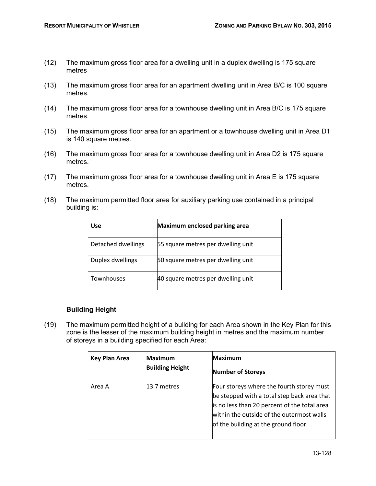- (12) The maximum gross floor area for a dwelling unit in a duplex dwelling is 175 square metres
- (13) The maximum gross floor area for an apartment dwelling unit in Area B/C is 100 square metres.
- (14) The maximum gross floor area for a townhouse dwelling unit in Area B/C is 175 square metres.
- (15) The maximum gross floor area for an apartment or a townhouse dwelling unit in Area D1 is 140 square metres.
- (16) The maximum gross floor area for a townhouse dwelling unit in Area D2 is 175 square metres.
- (17) The maximum gross floor area for a townhouse dwelling unit in Area E is 175 square metres.
- (18) The maximum permitted floor area for auxiliary parking use contained in a principal building is:

| <b>Use</b>         | Maximum enclosed parking area      |
|--------------------|------------------------------------|
| Detached dwellings | 55 square metres per dwelling unit |
| Duplex dwellings   | 50 square metres per dwelling unit |
| Townhouses         | 40 square metres per dwelling unit |

#### **Building Height**

(19) The maximum permitted height of a building for each Area shown in the Key Plan for this zone is the lesser of the maximum building height in metres and the maximum number of storeys in a building specified for each Area:

| <b>Key Plan Area</b> | <b>Maximum</b><br><b>Building Height</b> | Maximum<br><b>Number of Storeys</b>                                                                                                                                                                                           |
|----------------------|------------------------------------------|-------------------------------------------------------------------------------------------------------------------------------------------------------------------------------------------------------------------------------|
| Area A               | l13.7 metres                             | Four storeys where the fourth storey must<br>be stepped with a total step back area that<br>is no less than 20 percent of the total area<br>within the outside of the outermost walls<br>of the building at the ground floor. |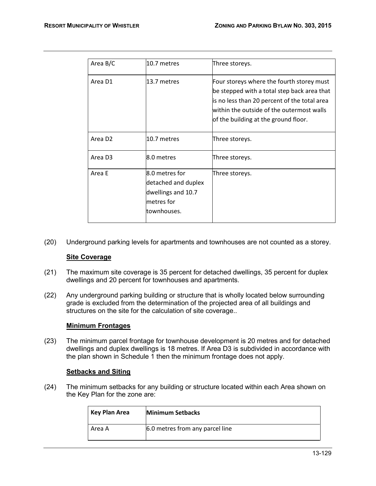| Area B/C            | 10.7 metres                                                                              | Three storeys.                                                                                                                                                                                                                |
|---------------------|------------------------------------------------------------------------------------------|-------------------------------------------------------------------------------------------------------------------------------------------------------------------------------------------------------------------------------|
| Area D1             | 13.7 metres                                                                              | Four storeys where the fourth storey must<br>be stepped with a total step back area that<br>is no less than 20 percent of the total area<br>within the outside of the outermost walls<br>of the building at the ground floor. |
| Area D <sub>2</sub> | l10.7 metres                                                                             | Three storeys.                                                                                                                                                                                                                |
| Area D <sub>3</sub> | 8.0 metres                                                                               | Three storeys.                                                                                                                                                                                                                |
| Area E              | 8.0 metres for<br>detached and duplex<br>dwellings and 10.7<br>metres for<br>townhouses. | Three storeys.                                                                                                                                                                                                                |

(20) Underground parking levels for apartments and townhouses are not counted as a storey.

#### **Site Coverage**

- (21) The maximum site coverage is 35 percent for detached dwellings, 35 percent for duplex dwellings and 20 percent for townhouses and apartments.
- (22) Any underground parking building or structure that is wholly located below surrounding grade is excluded from the determination of the projected area of all buildings and structures on the site for the calculation of site coverage..

#### **Minimum Frontages**

(23) The minimum parcel frontage for townhouse development is 20 metres and for detached dwellings and duplex dwellings is 18 metres. If Area D3 is subdivided in accordance with the plan shown in Schedule 1 then the minimum frontage does not apply.

#### **Setbacks and Siting**

(24) The minimum setbacks for any building or structure located within each Area shown on the Key Plan for the zone are:

| Key Plan Area | <b>Minimum Setbacks</b>         |
|---------------|---------------------------------|
| Area A        | 6.0 metres from any parcel line |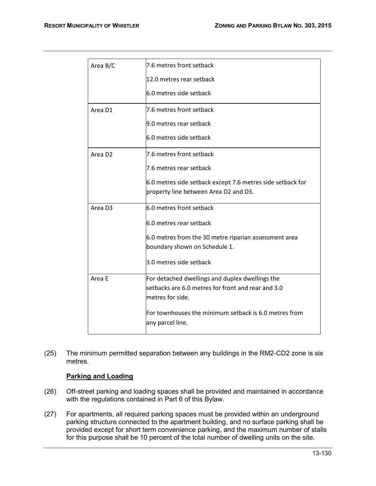| Area B/C            | 7.6 metres front setback                                   |
|---------------------|------------------------------------------------------------|
|                     | 12.0 metres rear setback                                   |
|                     | 6.0 metres side setback                                    |
| Area D1             | 7.6 metres front setback                                   |
|                     | 9.0 metres rear setback                                    |
|                     | 6.0 metres side setback                                    |
| Area D <sub>2</sub> | 7.6 metres front setback                                   |
|                     | 7.6 metres rear setback                                    |
|                     | 6.0 metres side setback except 7.6 metres side setback for |
|                     | property line between Area D2 and D3.                      |
| Area D <sub>3</sub> | 6.0 metres front setback                                   |
|                     | 6.0 metres rear setback                                    |
|                     | 6.0 metres from the 30 metre riparian assessment area      |
|                     | boundary shown on Schedule 1.                              |
|                     | 3.0 metres side setback                                    |
| Area E              | For detached dwellings and duplex dwellings the            |
|                     | setbacks are 6.0 metres for front and rear and 3.0         |
|                     | metres for side.                                           |
|                     | For townhouses the minimum setback is 6.0 metres from      |
|                     | any parcel line.                                           |
|                     |                                                            |

(25) The minimum permitted separation between any buildings in the RM2-CD2 zone is six metres.

## **Parking and Loading**

- (26) Off-street parking and loading spaces shall be provided and maintained in accordance with the regulations contained in Part 6 of this Bylaw.
- (27) For apartments, all required parking spaces must be provided within an underground parking structure connected to the apartment building, and no surface parking shall be provided except for short term convenience parking, and the maximum number of stalls for this purpose shall be 10 percent of the total number of dwelling units on the site.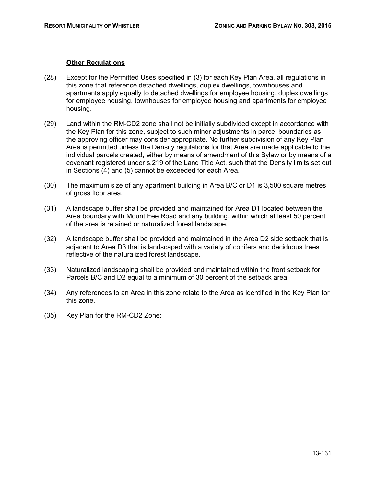#### **Other Regulations**

- (28) Except for the Permitted Uses specified in (3) for each Key Plan Area, all regulations in this zone that reference detached dwellings, duplex dwellings, townhouses and apartments apply equally to detached dwellings for employee housing, duplex dwellings for employee housing, townhouses for employee housing and apartments for employee housing.
- (29) Land within the RM-CD2 zone shall not be initially subdivided except in accordance with the Key Plan for this zone, subject to such minor adjustments in parcel boundaries as the approving officer may consider appropriate. No further subdivision of any Key Plan Area is permitted unless the Density regulations for that Area are made applicable to the individual parcels created, either by means of amendment of this Bylaw or by means of a covenant registered under s.219 of the Land Title Act, such that the Density limits set out in Sections (4) and (5) cannot be exceeded for each Area.
- (30) The maximum size of any apartment building in Area B/C or D1 is 3,500 square metres of gross floor area.
- (31) A landscape buffer shall be provided and maintained for Area D1 located between the Area boundary with Mount Fee Road and any building, within which at least 50 percent of the area is retained or naturalized forest landscape.
- (32) A landscape buffer shall be provided and maintained in the Area D2 side setback that is adjacent to Area D3 that is landscaped with a variety of conifers and deciduous trees reflective of the naturalized forest landscape.
- (33) Naturalized landscaping shall be provided and maintained within the front setback for Parcels B/C and D2 equal to a minimum of 30 percent of the setback area.
- (34) Any references to an Area in this zone relate to the Area as identified in the Key Plan for this zone.
- (35) Key Plan for the RM-CD2 Zone: